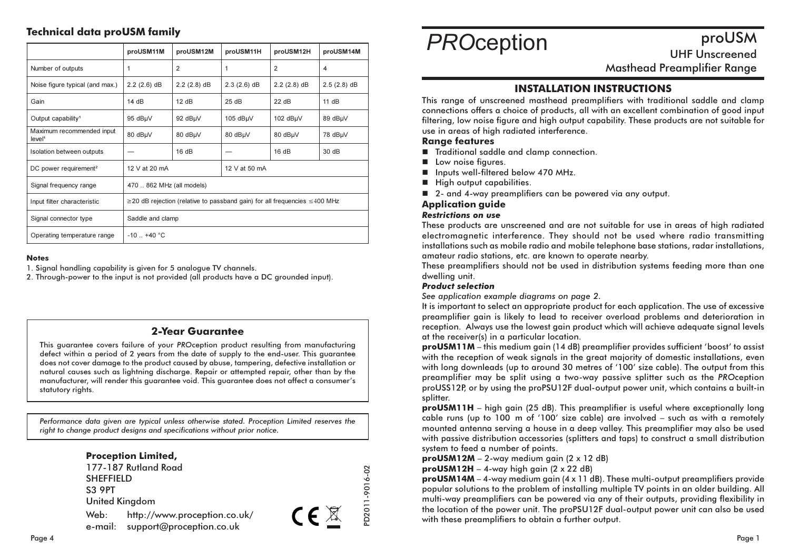# **Technical data proUSM family**

|                                                 | proUSM11M                                                                             | proUSM12M      | proUSM11H      | proUSM12H      | proUSM14M     |
|-------------------------------------------------|---------------------------------------------------------------------------------------|----------------|----------------|----------------|---------------|
| Number of outputs                               | 1                                                                                     | 2              | 1              | $\overline{2}$ | 4             |
| Noise figure typical (and max.)                 | $2.2$ (2.6) dB                                                                        | $2.2$ (2.8) dB | $2.3$ (2.6) dB | $2.2$ (2.8) dB | $2.5(2.8)$ dB |
| Gain                                            | 14dB                                                                                  | 12 dB          | 25dB           | 22 dB          | 11 dB         |
| Output capability <sup>1</sup>                  | 95 dBµV                                                                               | 92 dBµV        | 105 $dB\mu V$  | 102 dBµV       | 89 dBµV       |
| Maximum recommended input<br>level <sup>1</sup> | 80 dBµV                                                                               | 80 dBµV        | 80 dBµV        | 80 dBµV        | 78 dBµV       |
| Isolation between outputs                       |                                                                                       | 16dB           |                | 16dB           | 30 dB         |
| DC power requirement <sup>2</sup>               | 12 V at 20 mA                                                                         |                | 12 V at 50 mA  |                |               |
| Signal frequency range                          | 470  862 MHz (all models)                                                             |                |                |                |               |
| Input filter characteristic                     | $\geq$ 20 dB rejection (relative to passband gain) for all frequencies $\leq$ 400 MHz |                |                |                |               |
| Signal connector type                           | Saddle and clamp                                                                      |                |                |                |               |
| Operating temperature range                     | $-10$ $+40$ °C                                                                        |                |                |                |               |

#### **Notes**

1. Signal handling capability is given for 5 analogue TV channels.

2. Through-power to the input is not provided (all products have a DC grounded input).

### **2-Year Guarantee**

This guarantee covers failure of your PROception product resulting from manufacturing defect within a period of 2 years from the date of supply to the end-user. This guarantee does not cover damage to the product caused by abuse, tampering, defective installation or natural causes such as lightning discharge. Repair or attempted repair, other than by the manufacturer, will render this guarantee void. This guarantee does not affect a consumer's statutory rights.

Performance data given are typical unless otherwise stated. Proception Limited reserves the right to change product designs and specifications without prior notice.



**PROception** 

proUSM **UHF Unscreened Masthead Preamplifier Range** 

## **INSTALLATION INSTRUCTIONS**

This range of unscreened masthead preamplifiers with traditional saddle and clamp connections offers a choice of products, all with an excellent combination of good input filtering. Iow noise figure and high output capability. These products are not suitable for use in areas of high radiated interference.

#### **Range features**

- Traditional saddle and clamp connection.
- Low noise figures.
- Inputs well-filtered below 470 MHz.
- High output capabilities.
- 2- and 4-way preamplifiers can be powered via any output.

#### **Application avide**

#### **Restrictions on use**

These products are unscreened and are not suitable for use in areas of high radiated electromagnetic interference. They should not be used where radio transmitting installations such as mobile radio and mobile telephone base stations, radar installations. amateur radio stations, etc. are known to operate nearby.

These preamplifiers should not be used in distribution systems feeding more than one dwelling unit.

#### **Product selection**

See application example diagrams on page 2.

It is important to select an appropriate product for each application. The use of excessive preamplifier gain is likely to lead to receiver overload problems and deterioration in reception. Always use the lowest agin product which will achieve adequate signal levels at the receiver(s) in a particular location.

**proUSM11M** – this medium gain (14 dB) preamplifier provides sufficient 'boost' to assist with the reception of weak signals in the great majority of domestic installations, even with long downleads (up to around 30 metres of '100' size cable). The output from this preamplifier may be split using a two-way passive splitter such as the PROception proUSS12P, or by using the proPSU12F dual-output power unit, which contains a built-in splitter.

proUSM11H - high gain (25 dB). This preamplifier is useful where exceptionally long cable runs (up to 100 m of '100' size cable) are involved – such as with a remotely mounted antenna serving a house in a deep valley. This preamplifier may also be used with passive distribution accessories (splitters and taps) to construct a small distribution system to feed a number of points.

 $proUSM12M - 2$ -way medium gain (2 x 12 dB)

 $proUSM12H - 4$ -way high gain (2 x 22 dB)

 $\mathsf{proUSM14M} - 4$ -way medium gain (4 x 11 dB). These multi-output preamplifiers provide popular solutions to the problem of installing multiple TV points in an older building. All multi-way preamplifiers can be powered via any of their outputs, providing flexibility in the location of the power unit. The proPSU12F dual-output power unit can also be used with these preamplifiers to obtain a further output.